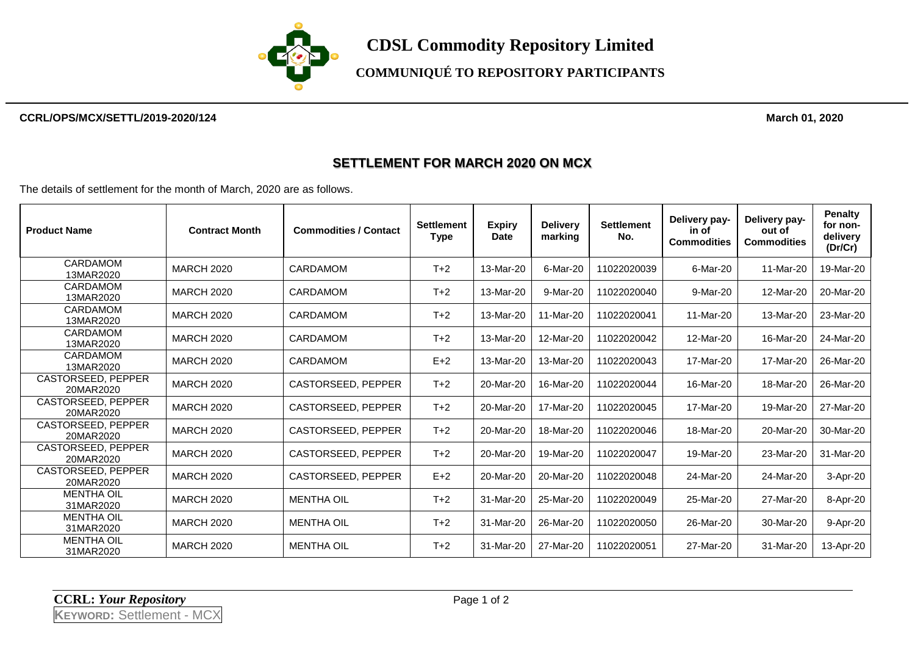

# **COMMUNIQUÉ TO REPOSITORY PARTICIPANTS**

#### **CCRL/OPS/MCX/SETTL/2019-2020/124 March 01, 2020**

### **SETTLEMENT FOR MARCH 2020 ON MCX**

The details of settlement for the month of March, 2020 are as follows.

| <b>Product Name</b>                    | <b>Contract Month</b> | <b>Commodities / Contact</b> | <b>Settlement</b><br>Type | <b>Expiry</b><br><b>Date</b> | <b>Delivery</b><br>marking | <b>Settlement</b><br>No. | Delivery pay-<br>in of<br><b>Commodities</b> | Delivery pay-<br>out of<br><b>Commodities</b> | Penalty<br>for non-<br>delivery<br>(Dr/Cr) |
|----------------------------------------|-----------------------|------------------------------|---------------------------|------------------------------|----------------------------|--------------------------|----------------------------------------------|-----------------------------------------------|--------------------------------------------|
| <b>CARDAMOM</b><br>13MAR2020           | <b>MARCH 2020</b>     | <b>CARDAMOM</b>              | $T+2$                     | 13-Mar-20                    | 6-Mar-20                   | 11022020039              | 6-Mar-20                                     | 11-Mar-20                                     | 19-Mar-20                                  |
| CARDAMOM<br>13MAR2020                  | <b>MARCH 2020</b>     | <b>CARDAMOM</b>              | $T+2$                     | 13-Mar-20                    | 9-Mar-20                   | 11022020040              | 9-Mar-20                                     | 12-Mar-20                                     | 20-Mar-20                                  |
| CARDAMOM<br>13MAR2020                  | <b>MARCH 2020</b>     | <b>CARDAMOM</b>              | $T+2$                     | 13-Mar-20                    | 11-Mar-20                  | 11022020041              | 11-Mar-20                                    | 13-Mar-20                                     | 23-Mar-20                                  |
| <b>CARDAMOM</b><br>13MAR2020           | <b>MARCH 2020</b>     | <b>CARDAMOM</b>              | $T+2$                     | 13-Mar-20                    | 12-Mar-20                  | 11022020042              | 12-Mar-20                                    | 16-Mar-20                                     | 24-Mar-20                                  |
| CARDAMOM<br>13MAR2020                  | <b>MARCH 2020</b>     | <b>CARDAMOM</b>              | $E+2$                     | 13-Mar-20                    | 13-Mar-20                  | 11022020043              | 17-Mar-20                                    | 17-Mar-20                                     | 26-Mar-20                                  |
| <b>CASTORSEED, PEPPER</b><br>20MAR2020 | <b>MARCH 2020</b>     | <b>CASTORSEED, PEPPER</b>    | $T+2$                     | 20-Mar-20                    | 16-Mar-20                  | 11022020044              | 16-Mar-20                                    | 18-Mar-20                                     | 26-Mar-20                                  |
| <b>CASTORSEED, PEPPER</b><br>20MAR2020 | <b>MARCH 2020</b>     | CASTORSEED, PEPPER           | $T+2$                     | 20-Mar-20                    | 17-Mar-20                  | 11022020045              | 17-Mar-20                                    | 19-Mar-20                                     | 27-Mar-20                                  |
| <b>CASTORSEED, PEPPER</b><br>20MAR2020 | <b>MARCH 2020</b>     | CASTORSEED, PEPPER           | $T+2$                     | 20-Mar-20                    | 18-Mar-20                  | 11022020046              | 18-Mar-20                                    | 20-Mar-20                                     | 30-Mar-20                                  |
| <b>CASTORSEED, PEPPER</b><br>20MAR2020 | <b>MARCH 2020</b>     | CASTORSEED, PEPPER           | $T+2$                     | 20-Mar-20                    | 19-Mar-20                  | 11022020047              | 19-Mar-20                                    | 23-Mar-20                                     | 31-Mar-20                                  |
| <b>CASTORSEED, PEPPER</b><br>20MAR2020 | <b>MARCH 2020</b>     | CASTORSEED, PEPPER           | $E+2$                     | 20-Mar-20                    | 20-Mar-20                  | 11022020048              | 24-Mar-20                                    | 24-Mar-20                                     | 3-Apr-20                                   |
| <b>MENTHA OIL</b><br>31MAR2020         | <b>MARCH 2020</b>     | <b>MENTHA OIL</b>            | $T+2$                     | 31-Mar-20                    | 25-Mar-20                  | 11022020049              | 25-Mar-20                                    | 27-Mar-20                                     | 8-Apr-20                                   |
| <b>MENTHA OIL</b><br>31MAR2020         | <b>MARCH 2020</b>     | <b>MENTHA OIL</b>            | $T+2$                     | 31-Mar-20                    | 26-Mar-20                  | 11022020050              | 26-Mar-20                                    | 30-Mar-20                                     | 9-Apr-20                                   |
| <b>MENTHA OIL</b><br>31MAR2020         | <b>MARCH 2020</b>     | <b>MENTHA OIL</b>            | $T+2$                     | 31-Mar-20                    | 27-Mar-20                  | 11022020051              | 27-Mar-20                                    | 31-Mar-20                                     | 13-Apr-20                                  |